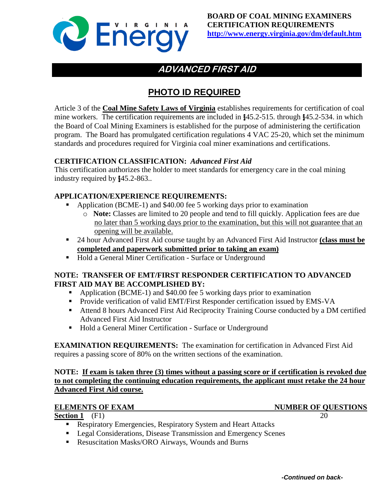

# **ADVANCED FIRST AID**

# **PHOTO ID REQUIRED**

Article 3 of the **Coal Mine Safety Laws of Virginia** establishes requirements for certification of coal mine workers. The certification requirements are included in §45.2-515. through §45.2-534. in which the Board of Coal Mining Examiners is established for the purpose of administering the certification program. The Board has promulgated certification regulations 4 VAC 25-20, which set the minimum standards and procedures required for Virginia coal miner examinations and certifications.

#### **CERTIFICATION CLASSIFICATION:** *Advanced First Aid*

This certification authorizes the holder to meet standards for emergency care in the coal mining industry required by §45.2-863..

### **APPLICATION/EXPERIENCE REQUIREMENTS:**

- Application (BCME-1) and \$40.00 fee 5 working days prior to examination
	- o **Note:** Classes are limited to 20 people and tend to fill quickly. Application fees are due no later than 5 working days prior to the examination, but this will not guarantee that an opening will be available.
- 24 hour Advanced First Aid course taught by an Advanced First Aid Instructor **(class must be completed and paperwork submitted prior to taking an exam)**
- **Hold a General Miner Certification Surface or Underground**

#### **NOTE: TRANSFER OF EMT/FIRST RESPONDER CERTIFICATION TO ADVANCED FIRST AID MAY BE ACCOMPLISHED BY:**

- Application (BCME-1) and \$40.00 fee 5 working days prior to examination
- **Provide verification of valid EMT/First Responder certification issued by EMS-VA**
- Attend 8 hours Advanced First Aid Reciprocity Training Course conducted by a DM certified Advanced First Aid Instructor
- Hold a General Miner Certification Surface or Underground

**EXAMINATION REQUIREMENTS:** The examination for certification in Advanced First Aid requires a passing score of 80% on the written sections of the examination.

#### **NOTE: If exam is taken three (3) times without a passing score or if certification is revoked due to not completing the continuing education requirements, the applicant must retake the 24 hour Advanced First Aid course.**

#### **ELEMENTS OF EXAM NUMBER OF QUESTIONS**

**Section 1** (F1) 20

- **Respiratory Emergencies, Respiratory System and Heart Attacks**
- **Legal Considerations, Disease Transmission and Emergency Scenes**
- Resuscitation Masks/ORO Airways, Wounds and Burns